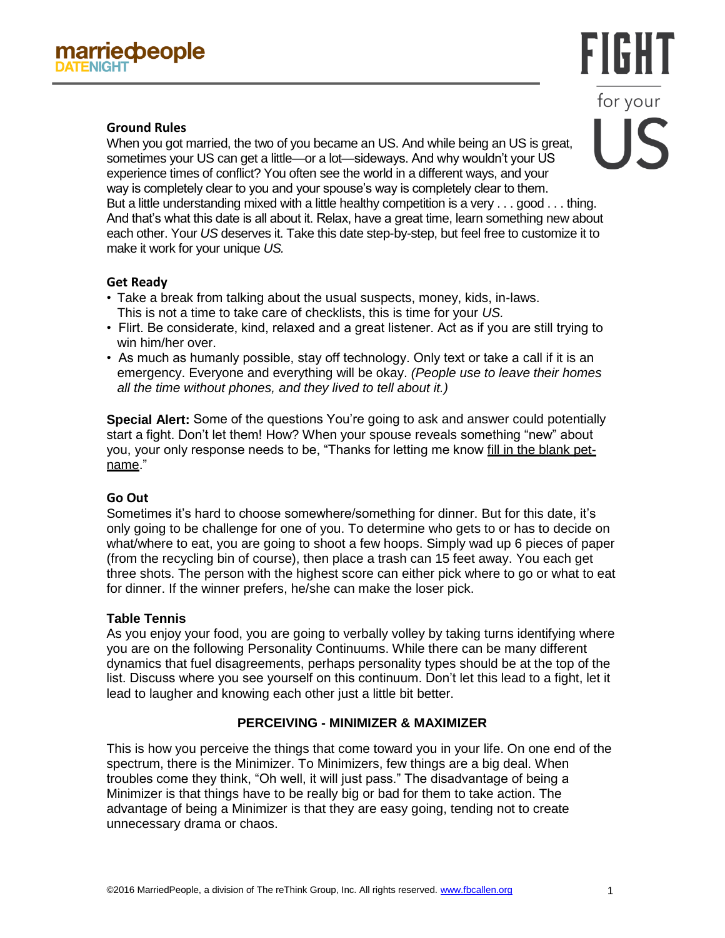# FIGHT for your IC

# **Ground Rules**

When you got married, the two of you became an US. And while being an US is great, sometimes your US can get a little—or a lot—sideways. And why wouldn't your US experience times of conflict? You often see the world in a different ways, and your way is completely clear to you and your spouse's way is completely clear to them. But a little understanding mixed with a little healthy competition is a very . . . good . . . thing. And that's what this date is all about it. Relax, have a great time, learn something new about each other. Your *US* deserves it. Take this date step-by-step, but feel free to customize it to make it work for your unique *US.*

# **Get Ready**

- Take a break from talking about the usual suspects, money, kids, in-laws. This is not a time to take care of checklists, this is time for your *US.*
- Flirt. Be considerate, kind, relaxed and a great listener. Act as if you are still trying to win him/her over.
- As much as humanly possible, stay off technology. Only text or take a call if it is an emergency. Everyone and everything will be okay. *(People use to leave their homes all the time without phones, and they lived to tell about it.)*

**Special Alert:** Some of the questions You're going to ask and answer could potentially start a fight. Don't let them! How? When your spouse reveals something "new" about you, your only response needs to be, "Thanks for letting me know fill in the blank petname."

## **Go Out**

Sometimes it's hard to choose somewhere/something for dinner. But for this date, it's only going to be challenge for one of you. To determine who gets to or has to decide on what/where to eat, you are going to shoot a few hoops. Simply wad up 6 pieces of paper (from the recycling bin of course), then place a trash can 15 feet away. You each get three shots. The person with the highest score can either pick where to go or what to eat for dinner. If the winner prefers, he/she can make the loser pick.

## **Table Tennis**

As you enjoy your food, you are going to verbally volley by taking turns identifying where you are on the following Personality Continuums. While there can be many different dynamics that fuel disagreements, perhaps personality types should be at the top of the list. Discuss where you see yourself on this continuum. Don't let this lead to a fight, let it lead to laugher and knowing each other just a little bit better.

# **PERCEIVING - MINIMIZER & MAXIMIZER**

This is how you perceive the things that come toward you in your life. On one end of the spectrum, there is the Minimizer. To Minimizers, few things are a big deal. When troubles come they think, "Oh well, it will just pass." The disadvantage of being a Minimizer is that things have to be really big or bad for them to take action. The advantage of being a Minimizer is that they are easy going, tending not to create unnecessary drama or chaos.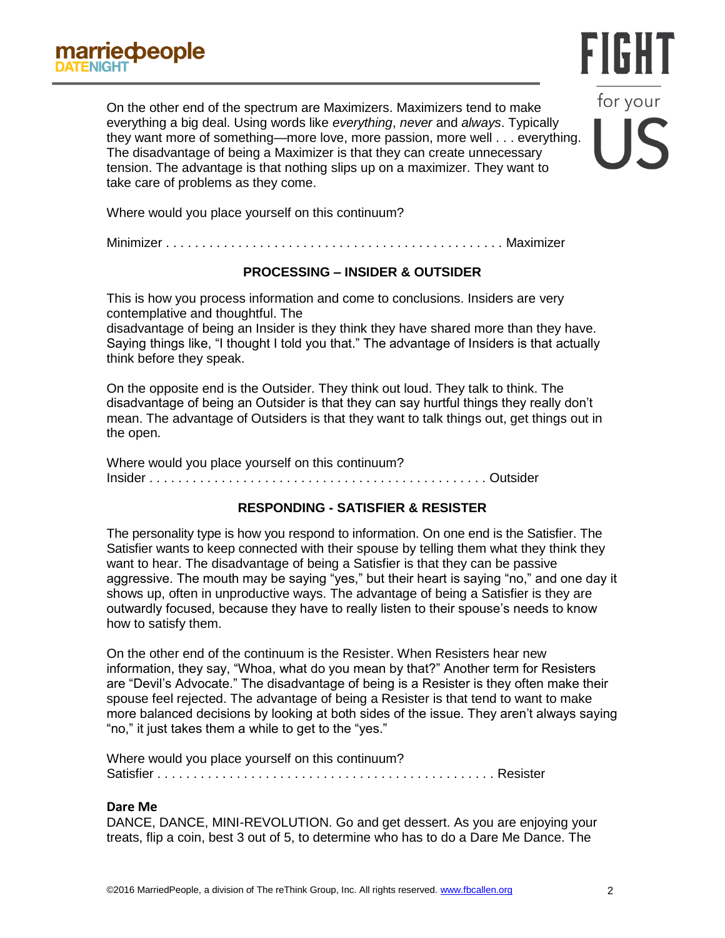On the other end of the spectrum are Maximizers. Maximizers tend to make everything a big deal. Using words like *everything*, *never* and *always*. Typically they want more of something—more love, more passion, more well . . . everything. The disadvantage of being a Maximizer is that they can create unnecessary tension. The advantage is that nothing slips up on a maximizer. They want to take care of problems as they come.

Where would you place yourself on this continuum?

Minimizer . . . . . . . . . . . . . . . . . . . . . . . . . . . . . . . . . . . . . . . . . . . . . . . Maximizer

### **PROCESSING – INSIDER & OUTSIDER**

This is how you process information and come to conclusions. Insiders are very contemplative and thoughtful. The

disadvantage of being an Insider is they think they have shared more than they have. Saying things like, "I thought I told you that." The advantage of Insiders is that actually think before they speak.

On the opposite end is the Outsider. They think out loud. They talk to think. The disadvantage of being an Outsider is that they can say hurtful things they really don't mean. The advantage of Outsiders is that they want to talk things out, get things out in the open.

Where would you place yourself on this continuum? Insider . . . . . . . . . . . . . . . . . . . . . . . . . . . . . . . . . . . . . . . . . . . . . . . Outsider

## **RESPONDING - SATISFIER & RESISTER**

The personality type is how you respond to information. On one end is the Satisfier. The Satisfier wants to keep connected with their spouse by telling them what they think they want to hear. The disadvantage of being a Satisfier is that they can be passive aggressive. The mouth may be saying "yes," but their heart is saying "no," and one day it shows up, often in unproductive ways. The advantage of being a Satisfier is they are outwardly focused, because they have to really listen to their spouse's needs to know how to satisfy them.

On the other end of the continuum is the Resister. When Resisters hear new information, they say, "Whoa, what do you mean by that?" Another term for Resisters are "Devil's Advocate." The disadvantage of being is a Resister is they often make their spouse feel rejected. The advantage of being a Resister is that tend to want to make more balanced decisions by looking at both sides of the issue. They aren't always saying "no," it just takes them a while to get to the "yes."

Where would you place yourself on this continuum? Satisfier . . . . . . . . . . . . . . . . . . . . . . . . . . . . . . . . . . . . . . . . . . . . . . . Resister

#### **Dare Me**

DANCE, DANCE, MINI-REVOLUTION. Go and get dessert. As you are enjoying your treats, flip a coin, best 3 out of 5, to determine who has to do a Dare Me Dance. The